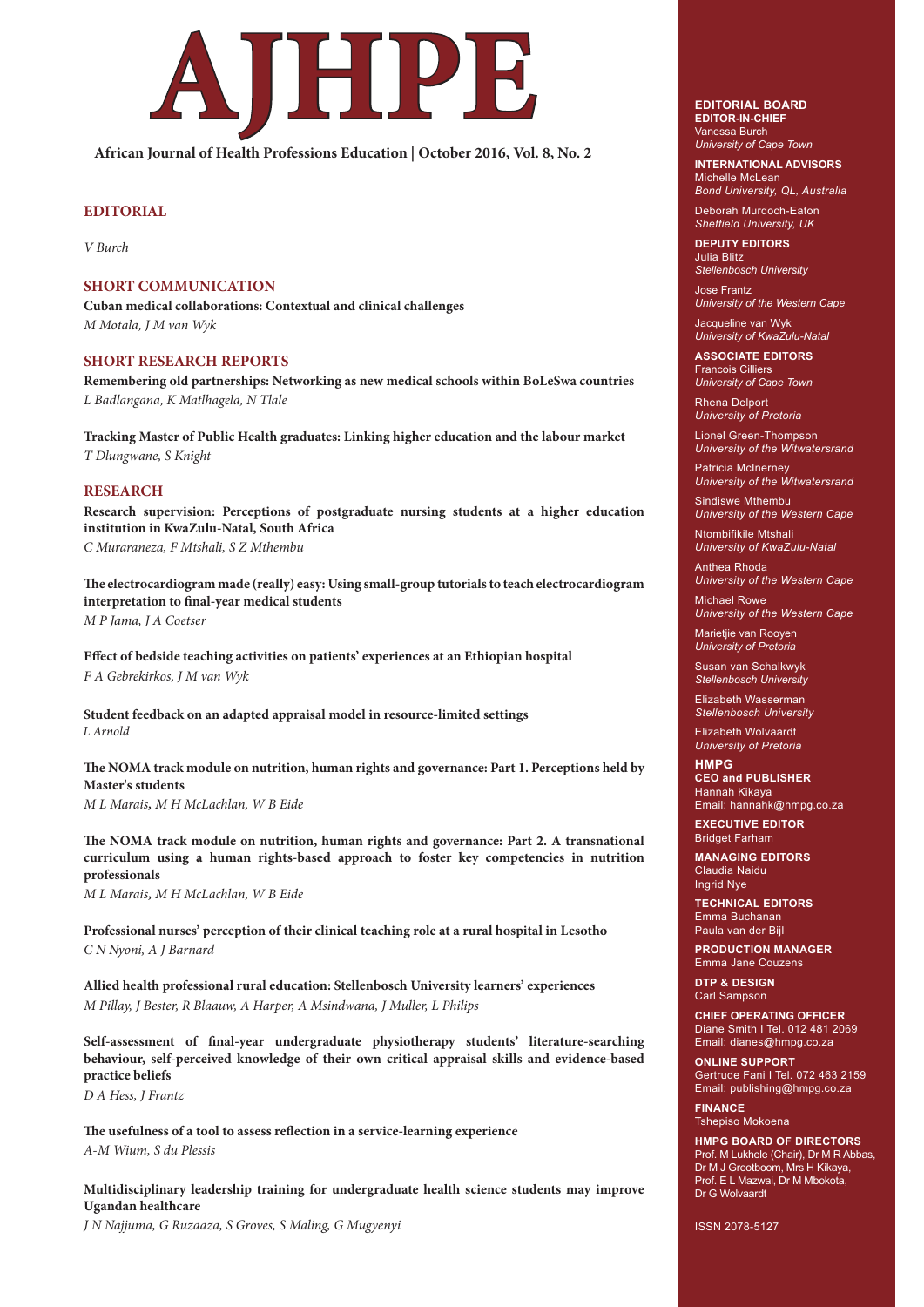

**African Journal of Health Professions Education | October 2016, Vol. 8, No. 2**

# **EDITORIAL**

*V Burch*

# **SHORT COMMUNICATION**

**Cuban medical collaborations: Contextual and clinical challenges**  *M Motala, J M van Wyk*

### **SHORT RESEARCH REPORTS**

**Remembering old partnerships: Networking as new medical schools within BoLeSwa countries** *L Badlangana, K Matlhagela, N Tlale*

**Tracking Master of Public Health graduates: Linking higher education and the labour market** *T Dlungwane, S Knight*

## **RESEARCH**

 **Research supervision: Perceptions of postgraduate nursing students at a higher education institution in KwaZulu-Natal, South Africa** *C Muraraneza, F Mtshali, S Z Mthembu*

 **The electrocardiogram made (really) easy: Using small-group tutorials to teach electrocardiogram interpretation to final-year medical students** *M P Jama, J A Coetser* 

**Effect of bedside teaching activities on patients' experiences at an Ethiopian hospital**  *F A Gebrekirkos, J M van Wyk*

**Student feedback on an adapted appraisal model in resource-limited settings**  *L Arnold*

 **The NOMA track module on nutrition, human rights and governance: Part 1. Perceptions held by Master's students**

*M L Marais, M H McLachlan, W B Eide*

 **The NOMA track module on nutrition, human rights and governance: Part 2. A transnational curriculum using a human rights-based approach to foster key competencies in nutrition professionals**

*M L Marais, M H McLachlan, W B Eide*

**Professional nurses' perception of their clinical teaching role at a rural hospital in Lesotho** *C N Nyoni, A J Barnard*

**Allied health professional rural education: Stellenbosch University learners' experiences** *M Pillay, J Bester, R Blaauw, A Harper, A Msindwana, J Muller, L Philips*

 **Self-assessment of final-year undergraduate physiotherapy students' literature-searching behaviour, self-perceived knowledge of their own critical appraisal skills and evidence-based practice beliefs**

*D A Hess, J Frantz*

**The usefulness of a tool to assess reflection in a service-learning experience** *A-M Wium, S du Plessis*

 **Multidisciplinary leadership training for undergraduate health science students may improve Ugandan healthcare**

*J N Najjuma, G Ruzaaza, S Groves, S Maling, G Mugyenyi*

#### **EDITORIAL BOARD EDITOR-IN-CHIEF** Vanessa Burch

*University of Cape Town*

**INTERNATIONAL ADVISORS** Michelle McLean

*Bond University, QL, Australia* Deborah Murdoch-Eaton

*Sheffield University, UK* **DEPUTY EDITORS**

Julia Blitz *Stellenbosch University*

Jose Frantz *University of the Western Cape*

Jacqueline van Wyk *University of KwaZulu-Natal*

**ASSOCIATE EDITORS** Francois Cilliers *University of Cape Town*

Rhena Delport

*University of Pretoria* Lionel Green-Thompson

*University of the Witwatersrand*

Patricia McInerney *University of the Witwatersrand*

Sindiswe Mthembu *University of the Western Cape*

Ntombifikile Mtshali *University of KwaZulu-Natal*

Anthea Rhoda *University of the Western Cape*

Michael Rowe *University of the Western Cape*

Marietjie van Rooyen *University of Pretoria*

Susan van Schalkwyk *Stellenbosch University* 

Elizabeth Wasserman *Stellenbosch University*

Elizabeth Wolvaardt *University of Pretoria*

**HMPG CEO and PUBLISHER** Hannah Kikaya Email: hannahk@hmpg.co.za

**EXECUTIVE EDITOR** Bridget Farham

**MANAGING EDITORS** Claudia Naidu Ingrid Nye

**TECHNICAL EDITORS** Emma Buchanan Paula van der Bij

**PRODUCTION MANAGER**  Emma Jane Couzens

**DTP & DESIGN**  Carl Sampson

**CHIEF OPERATING OFFICER** Diane Smith I Tel. 012 481 2069 Email: dianes@hmpg.co.za

**ONLINE SUPPORT** Gertrude Fani I Tel. 072 463 2159 Email: publishing@hmpg.co.za

**FINANCE** Tshepiso Mokoena

**HMPG BOARD OF DIRECTORS** Prof. M Lukhele (Chair), Dr M R Abbas, Dr M J Grootboom, Mrs H Kikaya, Prof. E L Mazwai, Dr M Mbokota, Dr G Wolvaardt

ISSN 2078-5127